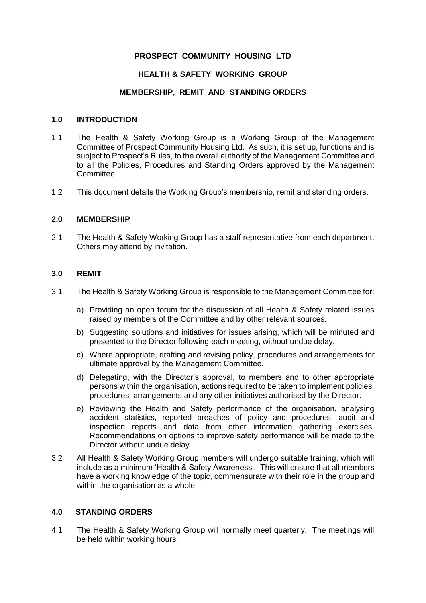## **PROSPECT COMMUNITY HOUSING LTD**

## **HEALTH & SAFETY WORKING GROUP**

### **MEMBERSHIP, REMIT AND STANDING ORDERS**

#### **1.0 INTRODUCTION**

- 1.1 The Health & Safety Working Group is a Working Group of the Management Committee of Prospect Community Housing Ltd. As such, it is set up, functions and is subject to Prospect's Rules, to the overall authority of the Management Committee and to all the Policies, Procedures and Standing Orders approved by the Management Committee.
- 1.2 This document details the Working Group's membership, remit and standing orders.

#### **2.0 MEMBERSHIP**

2.1 The Health & Safety Working Group has a staff representative from each department. Others may attend by invitation.

#### **3.0 REMIT**

- 3.1 The Health & Safety Working Group is responsible to the Management Committee for:
	- a) Providing an open forum for the discussion of all Health & Safety related issues raised by members of the Committee and by other relevant sources.
	- b) Suggesting solutions and initiatives for issues arising, which will be minuted and presented to the Director following each meeting, without undue delay.
	- c) Where appropriate, drafting and revising policy, procedures and arrangements for ultimate approval by the Management Committee.
	- d) Delegating, with the Director's approval, to members and to other appropriate persons within the organisation, actions required to be taken to implement policies, procedures, arrangements and any other initiatives authorised by the Director.
	- e) Reviewing the Health and Safety performance of the organisation, analysing accident statistics, reported breaches of policy and procedures, audit and inspection reports and data from other information gathering exercises. Recommendations on options to improve safety performance will be made to the Director without undue delay.
- 3.2 All Health & Safety Working Group members will undergo suitable training, which will include as a minimum 'Health & Safety Awareness'. This will ensure that all members have a working knowledge of the topic, commensurate with their role in the group and within the organisation as a whole.

# **4.0 STANDING ORDERS**

4.1 The Health & Safety Working Group will normally meet quarterly. The meetings will be held within working hours.